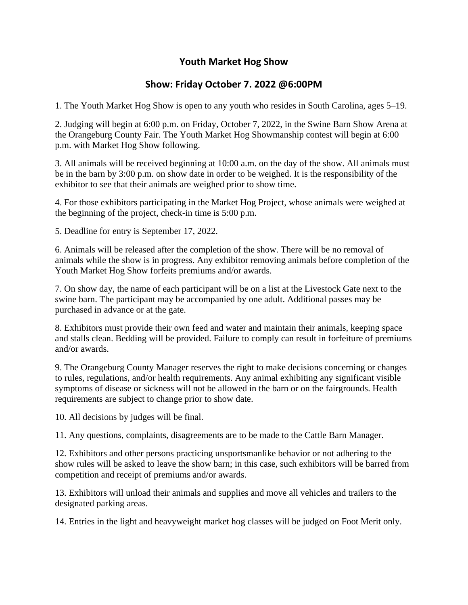### **Youth Market Hog Show**

### **Show: Friday October 7. 2022 @6:00PM**

1. The Youth Market Hog Show is open to any youth who resides in South Carolina, ages 5–19.

2. Judging will begin at 6:00 p.m. on Friday, October 7, 2022, in the Swine Barn Show Arena at the Orangeburg County Fair. The Youth Market Hog Showmanship contest will begin at 6:00 p.m. with Market Hog Show following.

3. All animals will be received beginning at 10:00 a.m. on the day of the show. All animals must be in the barn by 3:00 p.m. on show date in order to be weighed. It is the responsibility of the exhibitor to see that their animals are weighed prior to show time.

4. For those exhibitors participating in the Market Hog Project, whose animals were weighed at the beginning of the project, check-in time is 5:00 p.m.

5. Deadline for entry is September 17, 2022.

6. Animals will be released after the completion of the show. There will be no removal of animals while the show is in progress. Any exhibitor removing animals before completion of the Youth Market Hog Show forfeits premiums and/or awards.

7. On show day, the name of each participant will be on a list at the Livestock Gate next to the swine barn. The participant may be accompanied by one adult. Additional passes may be purchased in advance or at the gate.

8. Exhibitors must provide their own feed and water and maintain their animals, keeping space and stalls clean. Bedding will be provided. Failure to comply can result in forfeiture of premiums and/or awards.

9. The Orangeburg County Manager reserves the right to make decisions concerning or changes to rules, regulations, and/or health requirements. Any animal exhibiting any significant visible symptoms of disease or sickness will not be allowed in the barn or on the fairgrounds. Health requirements are subject to change prior to show date.

10. All decisions by judges will be final.

11. Any questions, complaints, disagreements are to be made to the Cattle Barn Manager.

12. Exhibitors and other persons practicing unsportsmanlike behavior or not adhering to the show rules will be asked to leave the show barn; in this case, such exhibitors will be barred from competition and receipt of premiums and/or awards.

13. Exhibitors will unload their animals and supplies and move all vehicles and trailers to the designated parking areas.

14. Entries in the light and heavyweight market hog classes will be judged on Foot Merit only.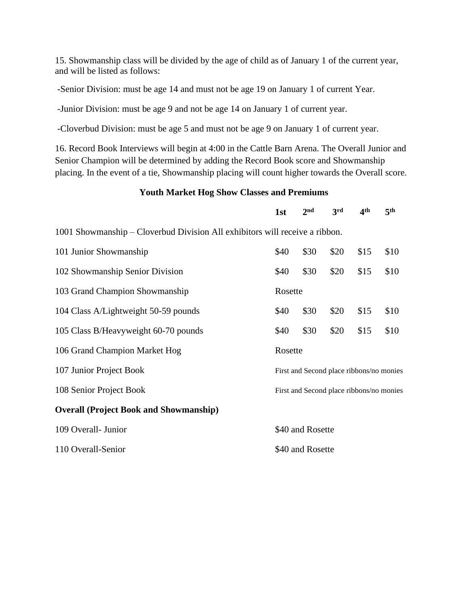15. Showmanship class will be divided by the age of child as of January 1 of the current year, and will be listed as follows:

-Senior Division: must be age 14 and must not be age 19 on January 1 of current Year.

-Junior Division: must be age 9 and not be age 14 on January 1 of current year.

-Cloverbud Division: must be age 5 and must not be age 9 on January 1 of current year.

16. Record Book Interviews will begin at 4:00 in the Cattle Barn Arena. The Overall Junior and Senior Champion will be determined by adding the Record Book score and Showmanship placing. In the event of a tie, Showmanship placing will count higher towards the Overall score.

#### **Youth Market Hog Show Classes and Premiums**

|                                                                             | 1st                                      | 2 <sub>nd</sub>  | 3rd  | 4 <sup>th</sup>                          | 5 <sup>th</sup> |  |
|-----------------------------------------------------------------------------|------------------------------------------|------------------|------|------------------------------------------|-----------------|--|
| 1001 Showmanship – Cloverbud Division All exhibitors will receive a ribbon. |                                          |                  |      |                                          |                 |  |
| 101 Junior Showmanship                                                      | \$40                                     | \$30             | \$20 | \$15                                     | \$10            |  |
| 102 Showmanship Senior Division                                             | \$40                                     | \$30             | \$20 | \$15                                     | \$10            |  |
| 103 Grand Champion Showmanship                                              | Rosette                                  |                  |      |                                          |                 |  |
| 104 Class A/Lightweight 50-59 pounds                                        | \$40                                     | \$30             | \$20 | \$15                                     | \$10            |  |
| 105 Class B/Heavyweight 60-70 pounds                                        | \$40                                     | \$30             | \$20 | \$15                                     | \$10            |  |
| 106 Grand Champion Market Hog                                               | Rosette                                  |                  |      |                                          |                 |  |
| 107 Junior Project Book                                                     |                                          |                  |      | First and Second place ribbons/no monies |                 |  |
| 108 Senior Project Book                                                     | First and Second place ribbons/no monies |                  |      |                                          |                 |  |
| <b>Overall (Project Book and Showmanship)</b>                               |                                          |                  |      |                                          |                 |  |
| 109 Overall- Junior                                                         |                                          | \$40 and Rosette |      |                                          |                 |  |
| 110 Overall-Senior                                                          | \$40 and Rosette                         |                  |      |                                          |                 |  |